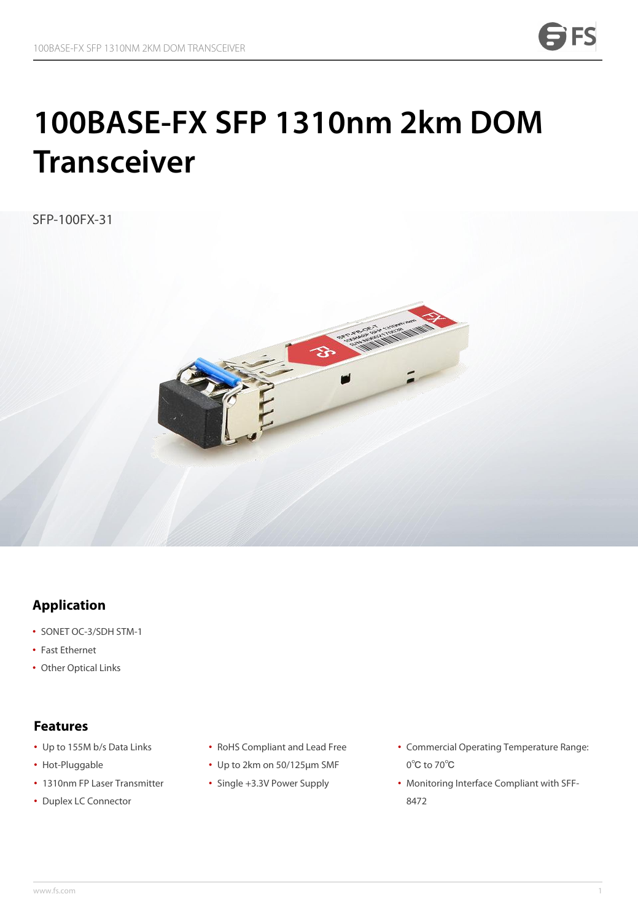# **100BASE-FX SFP 1310nm 2km DOM Transceiver**

SFP-100FX-31



### **Application**

- SONET OC-3/SDH STM-1
- Fast Ethernet
- Other Optical Links

- Up to 155M b/s Data Links
- Hot-Pluggable
- 1310nm FP Laser Transmitter Sing **Features**<br>• Up to 155M b/s Data Links<br>• Hot-Pluggable<br>• 1310nm FP Laser Transmitter<br>• Duplex LC Connector
- 
- RoHS Compliant and Lead Free
- Up to 2km on 50/125μm SMF
- Single +3.3V Power Supply
- Commercial Operating Temperature Range: 0℃ to 70℃
- Monitoring Interface Compliant with SFF- 8472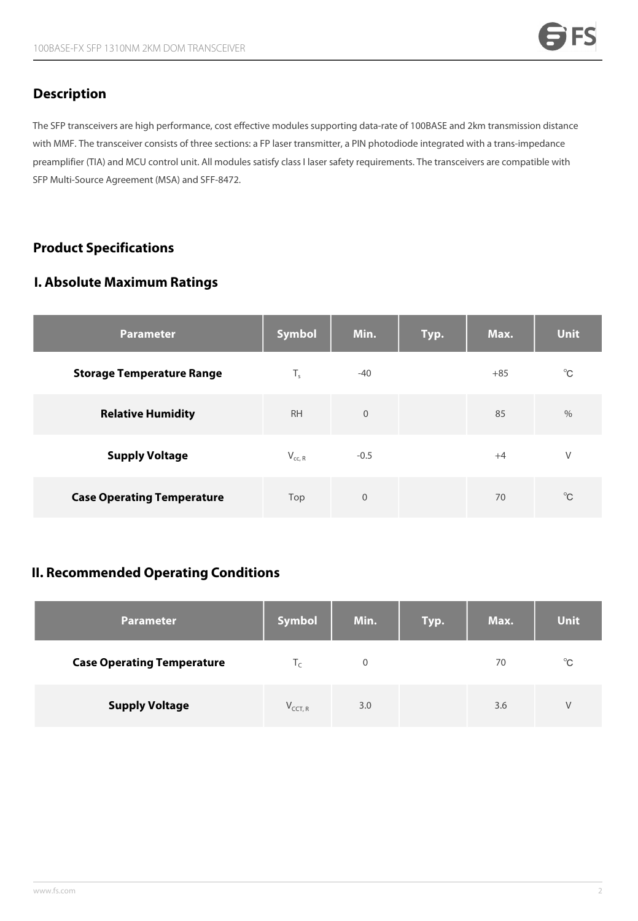### **Description**

The SFP transceivers are high performance, cost effective modules supporting data-rate of 100BASE and 2km transmission distance with MMF. The transceiver consists of three sections: a FP laser transmitter, a PIN photodiode integrated with a trans-impedance preamplifier (TIA) and MCU control unit. All modules satisfy class I laser safety requirements. The transceivers are compatible with SFP Multi-Source Agreement (MSA) and SFF-8472.

### **Product Specifications**

### **I. Absolute Maximum Ratings**

| <b>Parameter</b>                  | Symbol      | Min.        | Typ. | Max.  | <b>Unit</b>  |
|-----------------------------------|-------------|-------------|------|-------|--------------|
| <b>Storage Temperature Range</b>  | $T_{s}$     | $-40$       |      | $+85$ | $^{\circ}$ C |
| <b>Relative Humidity</b>          | <b>RH</b>   | $\mathbf 0$ |      | 85    | $\%$         |
| <b>Supply Voltage</b>             | $V_{cc, R}$ | $-0.5$      |      | $+4$  | $\vee$       |
| <b>Case Operating Temperature</b> | Top         | $\mathbf 0$ |      | 70    | $^{\circ}$ C |

### **II. Recommended Operating Conditions**

| <b>Parameter</b>                  | <b>Symbol</b> | Min. | Typ. | Max. | <b>Unit</b>  |
|-----------------------------------|---------------|------|------|------|--------------|
| <b>Case Operating Temperature</b> | I۰            | 0    |      | 70   | $^{\circ}$ C |
| <b>Supply Voltage</b>             | $V_{CCT, R}$  | 3.0  |      | 3.6  | V            |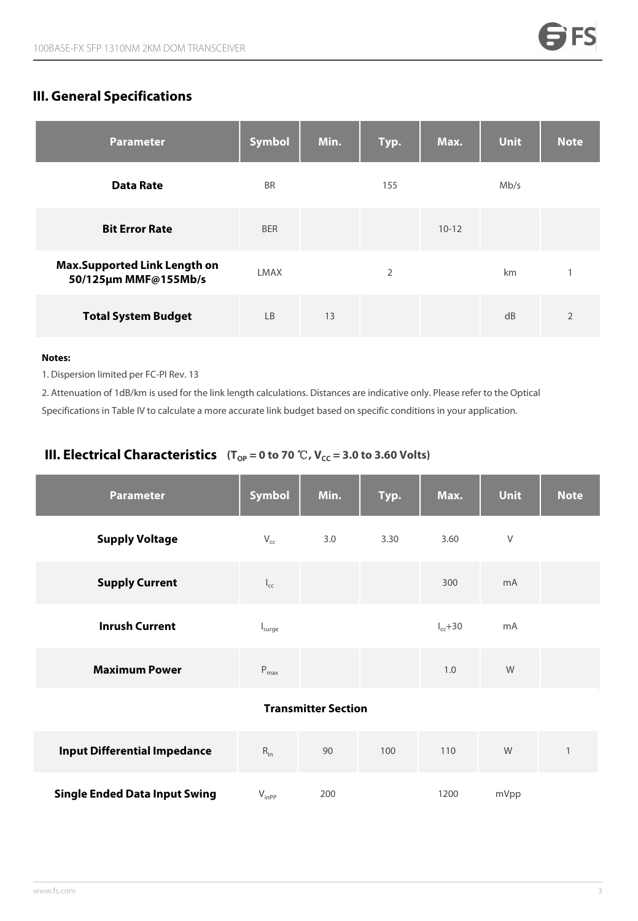## **III. General Specifications**

| <b>Parameter</b>                                            | Symbol      | Min. | Typ.           | Max.      | <b>Unit</b> | <b>Note</b>    |
|-------------------------------------------------------------|-------------|------|----------------|-----------|-------------|----------------|
| <b>Data Rate</b>                                            | <b>BR</b>   |      | 155            |           | Mb/s        |                |
| <b>Bit Error Rate</b>                                       | <b>BER</b>  |      |                | $10 - 12$ |             |                |
| <b>Max.Supported Link Length on</b><br>50/125μm MMF@155Mb/s | <b>LMAX</b> |      | $\overline{2}$ |           | km          | $\mathbf{1}$   |
| <b>Total System Budget</b>                                  | <b>LB</b>   | 13   |                |           | dB          | $\overline{2}$ |

#### **Notes:**

1. Dispersion limited per FC-PI Rev. 13

2. Attenuation of 1dB/km is used for the link length calculations. Distances are indicative only. Please refer to the Optical Specifications in Table IV to calculate a more accurate link budget based on specific conditions in your application.

### **III. Electrical Characteristics**  $(T_{OP} = 0 \text{ to } 70 \text{ }^{\circ}\text{C}, V_{CC} = 3.0 \text{ to } 3.60 \text{ Volts})$

| <b>Parameter</b>                     | <b>Symbol</b>              | Min.                       | Typ. | Max.          | <b>Unit</b> | <b>Note</b>  |
|--------------------------------------|----------------------------|----------------------------|------|---------------|-------------|--------------|
| <b>Supply Voltage</b>                | $V_{cc}$                   | 3.0                        | 3.30 | 3.60          | V           |              |
| <b>Supply Current</b>                | $\mathsf{I}_{\mathsf{cc}}$ |                            |      | 300           | mA          |              |
| <b>Inrush Current</b>                | I <sub>sure</sub>          |                            |      | $I_{cc} + 30$ | mA          |              |
| <b>Maximum Power</b>                 | $P_{max}$                  |                            |      | 1.0           | W           |              |
|                                      |                            | <b>Transmitter Section</b> |      |               |             |              |
| <b>Input Differential Impedance</b>  | $R_{in}$                   | 90                         | 100  | 110           | ${\sf W}$   | $\mathbf{1}$ |
| <b>Single Ended Data Input Swing</b> | $V_{inp}$                  | 200                        |      | 1200          | mVpp        |              |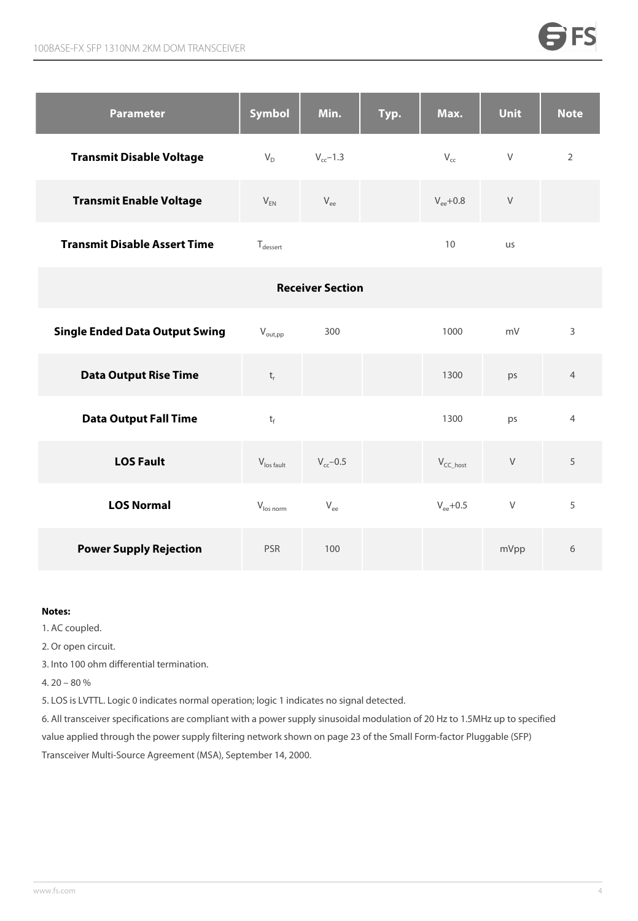| <b>Parameter</b>                    | Symbol       | Min.          | Typ. | Max.                  | <b>Unit</b> | <b>Note</b> |
|-------------------------------------|--------------|---------------|------|-----------------------|-------------|-------------|
| <b>Transmit Disable Voltage</b>     | $V_D$        | $V_{cc}$ –1.3 |      | $V_{cc}$              | V           | 2           |
| <b>Transmit Enable Voltage</b>      | $V_{EN}$     | $V_{ee}$      |      | $V_{\text{ee}} + 0.8$ | V           |             |
| <b>Transmit Disable Assert Time</b> | $T_{desert}$ |               |      | 10                    | us          |             |

|                                       |                           | <b>Receiver Section</b> |                |        |                |
|---------------------------------------|---------------------------|-------------------------|----------------|--------|----------------|
| <b>Single Ended Data Output Swing</b> | $V_{\text{out,pp}}$       | 300                     | 1000           | mV     | 3              |
| <b>Data Output Rise Time</b>          | $\mathsf{t}_{\mathsf{r}}$ |                         | 1300           | ps     | $\overline{4}$ |
| <b>Data Output Fall Time</b>          | $t_f$                     |                         | 1300           | ps     | $\overline{4}$ |
| <b>LOS Fault</b>                      | $V_{\text{los fault}}$    | $V_{cc}$ -0.5           | $V_{CC\_host}$ | $\vee$ | 5              |
| <b>LOS Normal</b>                     | $V_{\text{los norm}}$     | $\rm V_{ee}$            | $V_{ee}$ +0.5  | $\vee$ | 5              |
| <b>Power Supply Rejection</b>         | <b>PSR</b>                | 100                     |                | mVpp   | 6              |

#### **Notes:**

- 1. AC coupled.
- 2. Or open circuit.
- 3. Into 100 ohm differential termination.
- 4. 20 80 %
- 5. LOS is LVTTL. Logic 0 indicates normal operation; logic 1 indicates no signal detected.

6. All transceiver specifications are compliant with a powersupply sinusoidal modulation of 20 Hz to 1.5MHz up to specified value applied through the power supply filtering network shown on page 23 of the Small Form-factor Pluggable (SFP) Transceiver Multi-Source Agreement (MSA), September 14, 2000.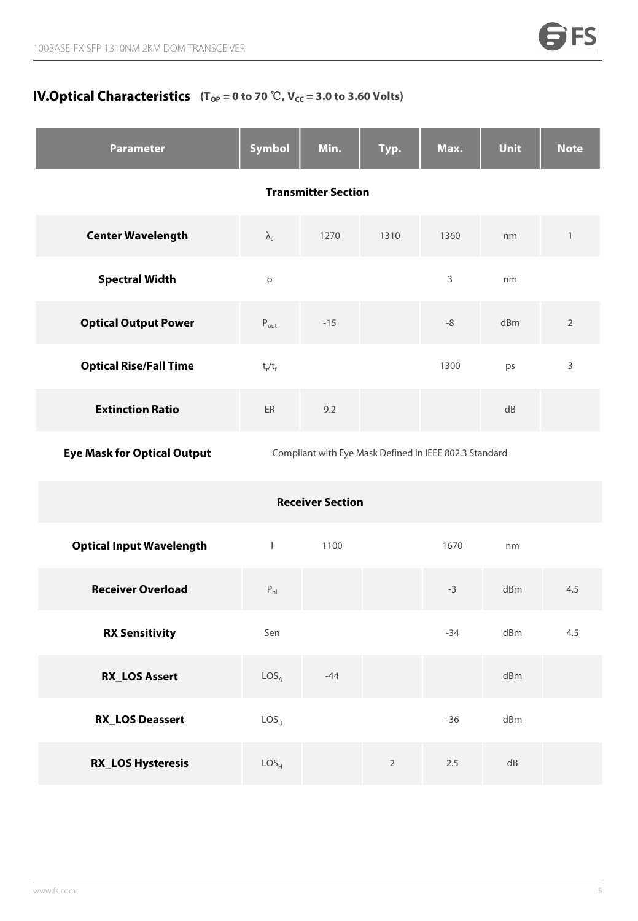### **IV.Optical Characteristics**  $(T_{\text{OP}} = 0 \text{ to } 70 \text{ }^{\circ}\text{C}$ ,  $V_{\text{CC}} = 3.0 \text{ to } 3.60 \text{ Volts})$

| <b>Parameter</b>                   | Symbol                     | Min.                                                   | Typ.           | Max.        | Unit       | <b>Note</b>    |  |  |
|------------------------------------|----------------------------|--------------------------------------------------------|----------------|-------------|------------|----------------|--|--|
|                                    | <b>Transmitter Section</b> |                                                        |                |             |            |                |  |  |
| <b>Center Wavelength</b>           | $\lambda_{\rm c}$          | 1270                                                   | 1310           | 1360        | nm         | $\mathbf{1}$   |  |  |
| <b>Spectral Width</b>              | $\sigma$                   |                                                        |                | 3           | nm         |                |  |  |
| <b>Optical Output Power</b>        | $P_{\text{out}}$           | $-15$                                                  |                | $\mbox{-}8$ | dBm        | $\overline{2}$ |  |  |
| <b>Optical Rise/Fall Time</b>      | $t_r/t_f$                  |                                                        |                | 1300        | ps         | 3              |  |  |
| <b>Extinction Ratio</b>            | ER                         | 9.2                                                    |                |             | dB         |                |  |  |
| <b>Eye Mask for Optical Output</b> |                            | Compliant with Eye Mask Defined in IEEE 802.3 Standard |                |             |            |                |  |  |
|                                    |                            | <b>Receiver Section</b>                                |                |             |            |                |  |  |
| <b>Optical Input Wavelength</b>    | $\mathbf{I}$               | 1100                                                   |                | 1670        | nm         |                |  |  |
| <b>Receiver Overload</b>           | $\mathsf{P}_\mathsf{ol}$   |                                                        |                | $-3$        | dBm        | 4.5            |  |  |
| <b>RX Sensitivity</b>              | Sen                        |                                                        |                | $-34$       | dBm        | 4.5            |  |  |
| <b>RX_LOS Assert</b>               | LOS <sub>A</sub>           | $-44$                                                  |                |             | dBm        |                |  |  |
| <b>RX_LOS Deassert</b>             | LOS <sub>D</sub>           |                                                        |                | $-36$       | dBm        |                |  |  |
| <b>RX_LOS Hysteresis</b>           | LOS <sub>H</sub>           |                                                        | $\overline{2}$ | $2.5\,$     | ${\sf dB}$ |                |  |  |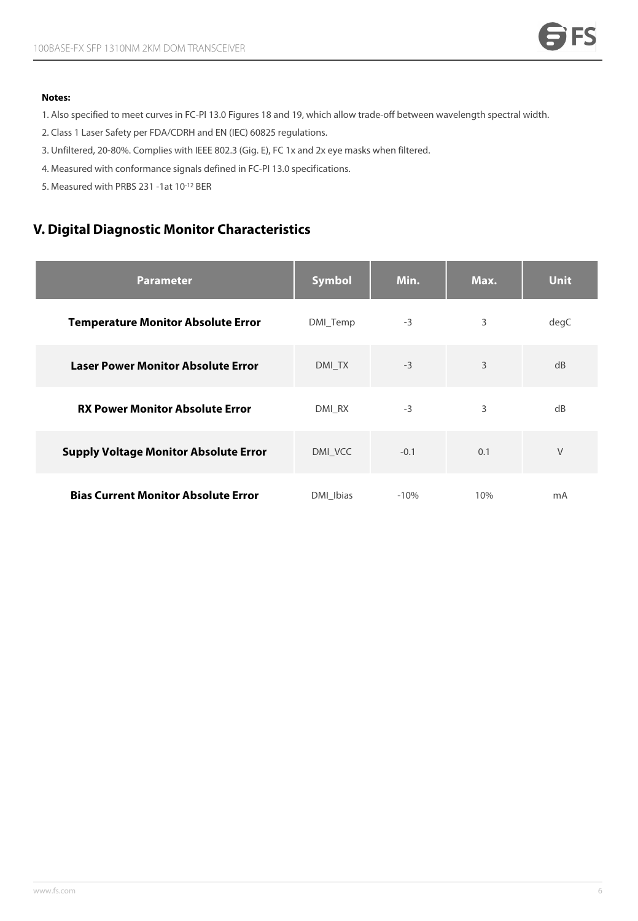#### **Notes:**

- 1. Also specified to meet curves in FC-PI 13.0 Figures 18 and 19, which allow trade-off between wavelength spectral width.
- 2. Class 1 Laser Safety per FDA/CDRH and EN (IEC) 60825 regulations.
- 3. Unfiltered, 20-80%. Complies with IEEE 802.3 (Gig. E), FC 1x and 2x eye masks when filtered.
- 4. Measured with conformance signals defined in FC-PI 13.0 specifications.
- 5. Measured with PRBS 231 -1at 10-12 BER

### **V. Digital Diagnostic Monitor Characteristics**

| <b>Parameter</b>                             | <b>Symbol</b> | Min.   | Max. | <b>Unit</b> |
|----------------------------------------------|---------------|--------|------|-------------|
| <b>Temperature Monitor Absolute Error</b>    | DMI_Temp      | $-3$   | 3    | degC        |
| <b>Laser Power Monitor Absolute Error</b>    | DMI TX        | $-3$   | 3    | dB          |
| <b>RX Power Monitor Absolute Error</b>       | DMI RX        | $-3$   | 3    | dB          |
| <b>Supply Voltage Monitor Absolute Error</b> | DMI_VCC       | $-0.1$ | 0.1  | $\vee$      |
| <b>Bias Current Monitor Absolute Error</b>   | DMI_Ibias     | $-10%$ | 10%  | mA          |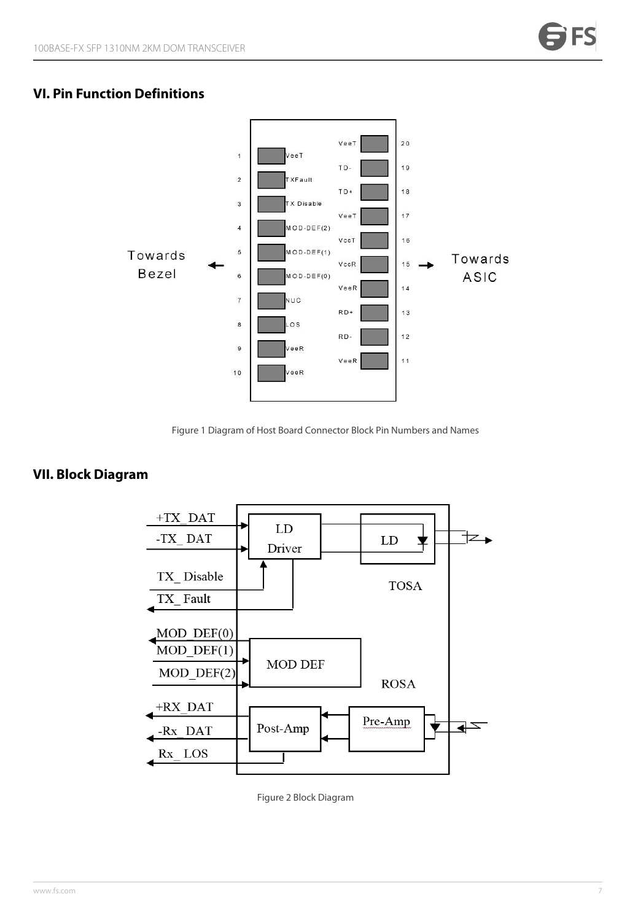### **VI. Pin Function Definitions**



Figure 1 Diagram of Host Board Connector Block Pin Numbers and Names

### **VII. Block Diagram**



Figure 2 Block Diagram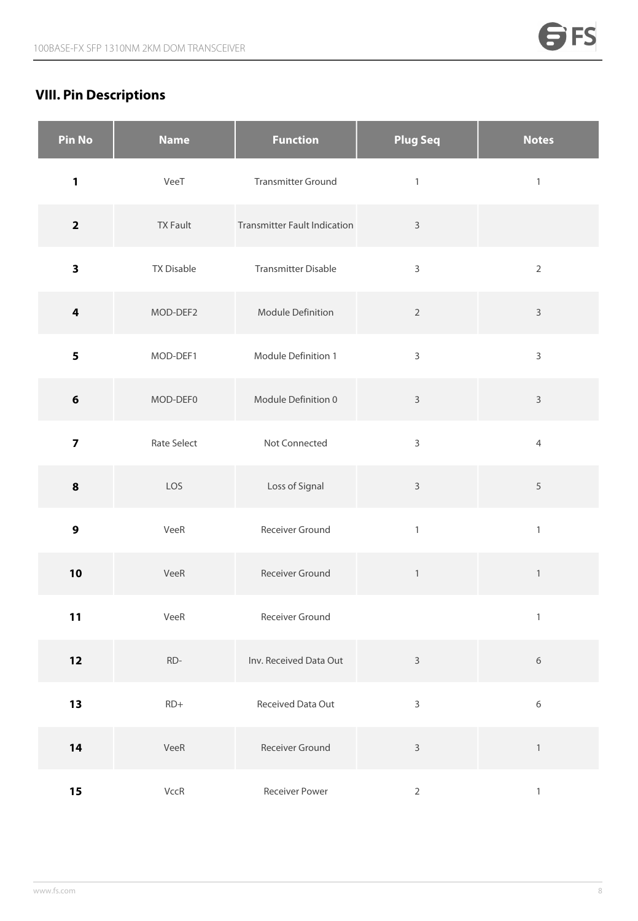## **VIII. Pin Descriptions**

| <b>Pin No</b>           | <b>Name</b>       | <b>Function</b>                     | <b>Plug Seq</b> | <b>Notes</b>   |
|-------------------------|-------------------|-------------------------------------|-----------------|----------------|
| $\mathbf{1}$            | VeeT              | <b>Transmitter Ground</b>           | $\mathbbm{1}$   | $\mathbbm{1}$  |
| $\mathbf{2}$            | <b>TX Fault</b>   | <b>Transmitter Fault Indication</b> | $\mathsf{3}$    |                |
| $\overline{\mathbf{3}}$ | <b>TX Disable</b> | <b>Transmitter Disable</b>          | $\mathsf{3}$    | $\overline{2}$ |
| $\overline{\mathbf{4}}$ | MOD-DEF2          | Module Definition                   | $\overline{2}$  | $\mathsf{3}$   |
| 5                       | MOD-DEF1          | Module Definition 1                 | $\mathsf{3}$    | $\mathsf{3}$   |
| $\bf 6$                 | MOD-DEF0          | Module Definition 0                 | $\mathsf 3$     | $\mathbf{3}$   |
| $\overline{\mathbf{z}}$ | Rate Select       | Not Connected                       | $\mathsf{3}$    | $\overline{4}$ |
| $\pmb{8}$               | LOS               | Loss of Signal                      | $\mathsf{3}$    | $\sqrt{5}$     |
| 9                       | VeeR              | Receiver Ground                     | $\mathbf{1}$    | $\mathbbm{1}$  |
| 10                      | VeeR              | Receiver Ground                     | $\,1\,$         | $\mathbbm{1}$  |
| 11                      | VeeR              | Receiver Ground                     |                 | $\mathbf{1}$   |
| $12$                    | $RD-$             | Inv. Received Data Out              | $\mathsf 3$     | $\,$ 6 $\,$    |
| 13                      | $RD+$             | Received Data Out                   | $\mathsf{3}$    | $\,$ 6 $\,$    |
| 14                      | VeeR              | Receiver Ground                     | $\mathsf{3}$    | $\,1\,$        |
| 15                      | VccR              | Receiver Power                      | $\overline{2}$  | $\,1$          |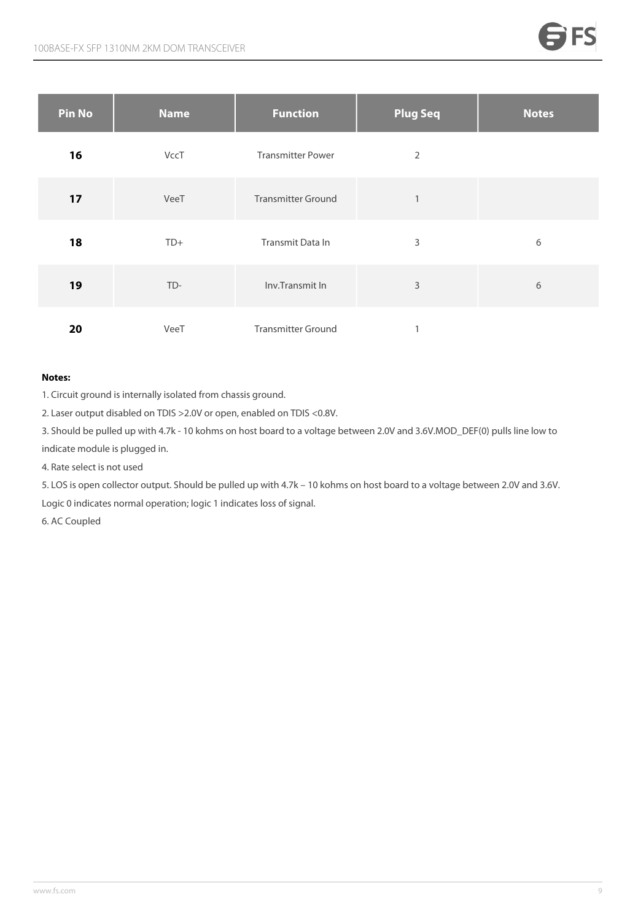| <b>Pin No</b> | <b>Name</b> | <b>Function</b>           | <b>Plug Seq</b> | <b>Notes</b> |
|---------------|-------------|---------------------------|-----------------|--------------|
| 16            | VccT        | <b>Transmitter Power</b>  | $\overline{2}$  |              |
| 17            | VeeT        | <b>Transmitter Ground</b> | 1               |              |
| 18            | $TD+$       | Transmit Data In          | 3               | 6            |
| 19            | TD-         | Inv.Transmit In           | 3               | 6            |
| 20            | VeeT        | <b>Transmitter Ground</b> |                 |              |

#### **Notes:**

1. Circuit ground is internally isolated from chassis ground.

2. Laser output disabled on TDIS >2.0V or open, enabled on TDIS <0.8V.

3. Should be pulled up with 4.7k - 10 kohms on host board to a voltage between 2.0V and 3.6V.MOD\_DEF(0) pulls line low to indicate module is plugged in.

4. Rate select is not used

5. LOS is open collector output. Should be pulled up with 4.7k – 10 kohms on host board to a voltage between 2.0V and 3.6V. Logic 0 indicates normal operation; logic 1 indicates loss of signal.

6. AC Coupled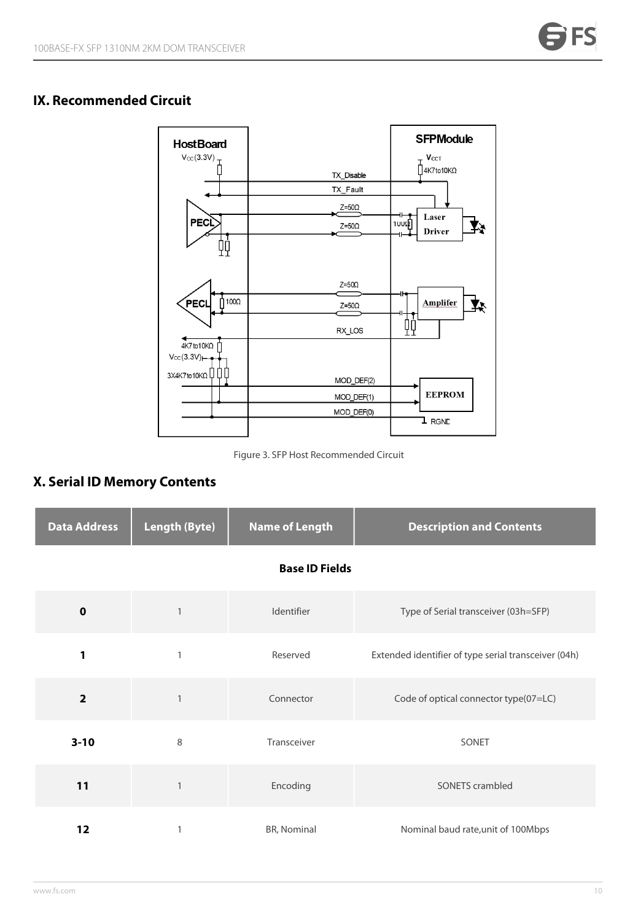### **IX. Recommended Circuit**



Figure 3. SFP Host Recommended Circuit

### **X. Serial ID Memory Contents**

| <b>Data Address</b> | <b>Length (Byte)</b> | <b>Name of Length</b> | <b>Description and Contents</b>                      |
|---------------------|----------------------|-----------------------|------------------------------------------------------|
|                     |                      | <b>Base ID Fields</b> |                                                      |
| $\mathbf 0$         | 1                    | Identifier            | Type of Serial transceiver (03h=SFP)                 |
| 1                   |                      | Reserved              | Extended identifier of type serial transceiver (04h) |
| $\overline{2}$      |                      | Connector             | Code of optical connector type(07=LC)                |
| $3 - 10$            | 8                    | Transceiver           | SONET                                                |
| 11                  |                      | Encoding              | SONETS crambled                                      |
| 12                  |                      | BR, Nominal           | Nominal baud rate, unit of 100Mbps                   |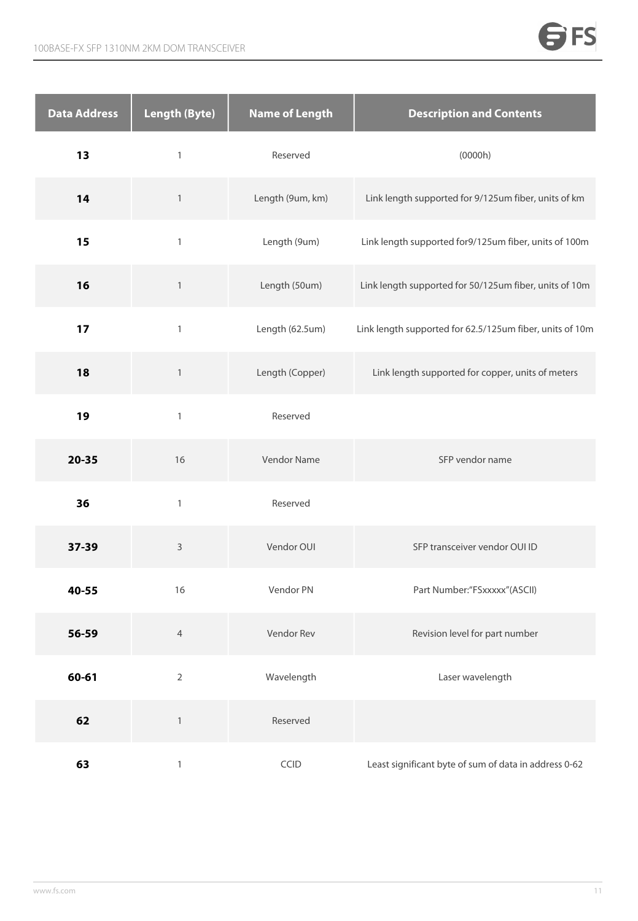| <b>Data Address</b> | <b>Length (Byte)</b> | <b>Name of Length</b> | <b>Description and Contents</b>                          |
|---------------------|----------------------|-----------------------|----------------------------------------------------------|
| 13                  | $\mathbf{1}$         | Reserved              | (0000h)                                                  |
| 14                  | $\mathbf{1}$         | Length (9um, km)      | Link length supported for 9/125um fiber, units of km     |
| 15                  | $\mathbf{1}$         | Length (9um)          | Link length supported for9/125um fiber, units of 100m    |
| 16                  | $\,1\,$              | Length (50um)         | Link length supported for 50/125um fiber, units of 10m   |
| 17                  | $\mathbf{1}$         | Length (62.5um)       | Link length supported for 62.5/125um fiber, units of 10m |
| 18                  | $\mathbf{1}$         | Length (Copper)       | Link length supported for copper, units of meters        |
| 19                  | $\mathbf{1}$         | Reserved              |                                                          |
| $20 - 35$           | 16                   | Vendor Name           | SFP vendor name                                          |
| 36                  | $\mathbf{1}$         | Reserved              |                                                          |
| 37-39               | $\mathsf 3$          | Vendor OUI            | SFP transceiver vendor OUI ID                            |
| 40-55               | 16                   | Vendor PN             | Part Number:"FSxxxxx"(ASCII)                             |
| 56-59               | $\overline{4}$       | Vendor Rev            | Revision level for part number                           |
| 60-61               | $\overline{2}$       | Wavelength            | Laser wavelength                                         |
| 62                  | $\mathbbm{1}$        | Reserved              |                                                          |
| 63                  | $\mathbbm{1}$        | CCID                  | Least significant byte of sum of data in address 0-62    |

a sa mga bagayan ng mga bagayan ng mga bagayan ng mga bagayan ng mga bagayan ng mga bagong mga bagong mga bago

**SFS**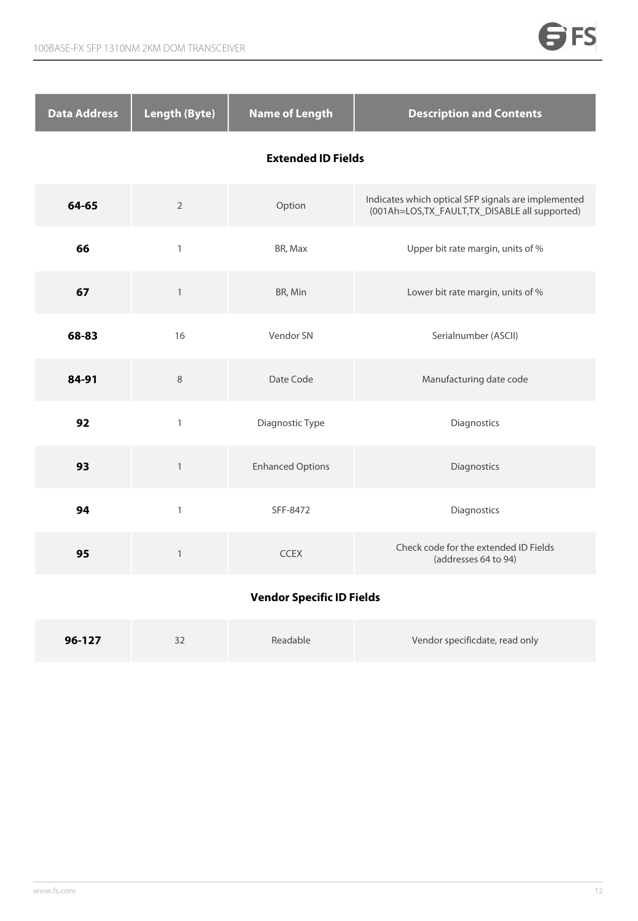| <b>Data Address</b>       | <b>Length (Byte)</b> | <b>Name of Length</b>            | <b>Description and Contents</b>                                                                        |
|---------------------------|----------------------|----------------------------------|--------------------------------------------------------------------------------------------------------|
| <b>Extended ID Fields</b> |                      |                                  |                                                                                                        |
| 64-65                     | $\sqrt{2}$           | Option                           | Indicates which optical SFP signals are implemented<br>(001Ah=LOS, TX_FAULT, TX_DISABLE all supported) |
| 66                        | $\mathbbm{1}$        | BR, Max                          | Upper bit rate margin, units of %                                                                      |
| 67                        | $\mathbf{1}$         | BR, Min                          | Lower bit rate margin, units of %                                                                      |
| 68-83                     | 16                   | Vendor SN                        | Serialnumber (ASCII)                                                                                   |
| 84-91                     | $\,8\,$              | Date Code                        | Manufacturing date code                                                                                |
| 92                        | $\mathbbm{1}$        | Diagnostic Type                  | Diagnostics                                                                                            |
| 93                        | $\mathbf{1}$         | <b>Enhanced Options</b>          | Diagnostics                                                                                            |
| 94                        | $\mathbf{1}$         | SFF-8472                         | Diagnostics                                                                                            |
| 95                        | $\mathbf{1}$         | <b>CCEX</b>                      | Check code for the extended ID Fields<br>(addresses 64 to 94)                                          |
|                           |                      | <b>Vendor Specific ID Fields</b> |                                                                                                        |

| 96-127 | ے ر | Readable | Vendor specificdate, read only |  |
|--------|-----|----------|--------------------------------|--|
|--------|-----|----------|--------------------------------|--|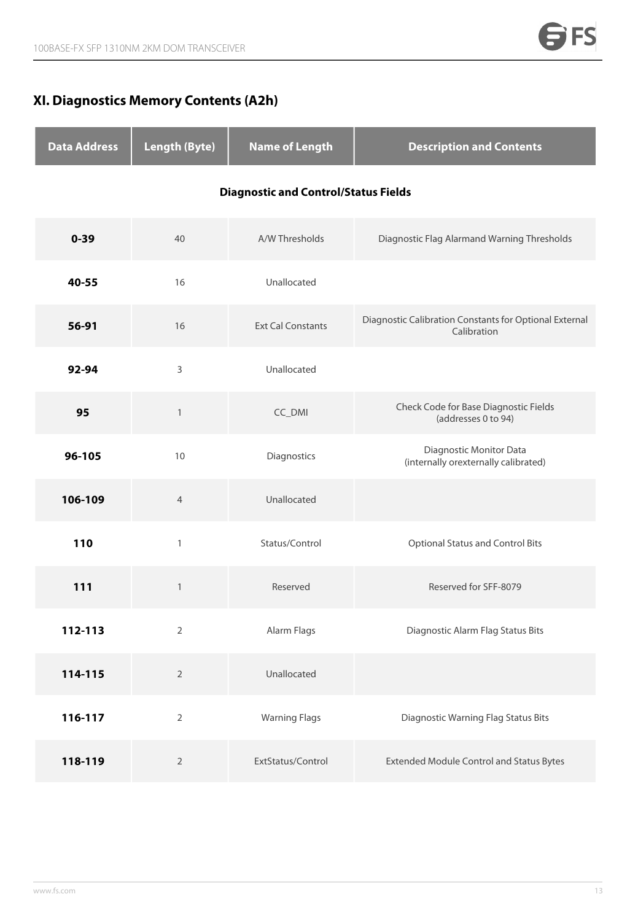### **XI. Diagnostics Memory Contents (A2h)**

| <b>Data Address</b> | <b>Length (Byte)</b> | <b>Name of Length</b>                       | <b>Description and Contents</b>                                       |
|---------------------|----------------------|---------------------------------------------|-----------------------------------------------------------------------|
|                     |                      | <b>Diagnostic and Control/Status Fields</b> |                                                                       |
| $0 - 39$            | 40                   | A/W Thresholds                              | Diagnostic Flag Alarmand Warning Thresholds                           |
| 40-55               | 16                   | Unallocated                                 |                                                                       |
| 56-91               | 16                   | <b>Ext Cal Constants</b>                    | Diagnostic Calibration Constants for Optional External<br>Calibration |
| 92-94               | 3                    | Unallocated                                 |                                                                       |
| 95                  | $\mathbf{1}$         | CC_DMI                                      | Check Code for Base Diagnostic Fields<br>(addresses 0 to 94)          |
| 96-105              | 10                   | Diagnostics                                 | Diagnostic Monitor Data<br>(internally orexternally calibrated)       |
| 106-109             | $\overline{4}$       | Unallocated                                 |                                                                       |
| 110                 | $\mathbf{1}$         | Status/Control                              | <b>Optional Status and Control Bits</b>                               |
| 111                 | $\mathbf{1}$         | Reserved                                    | Reserved for SFF-8079                                                 |
| 112-113             | $\overline{2}$       | Alarm Flags                                 | Diagnostic Alarm Flag Status Bits                                     |
| 114-115             | $\overline{2}$       | Unallocated                                 |                                                                       |
| 116-117             | $\overline{2}$       | <b>Warning Flags</b>                        | <b>Diagnostic Warning Flag Status Bits</b>                            |
| 118-119             | $\overline{2}$       | ExtStatus/Control                           | <b>Extended Module Control and Status Bytes</b>                       |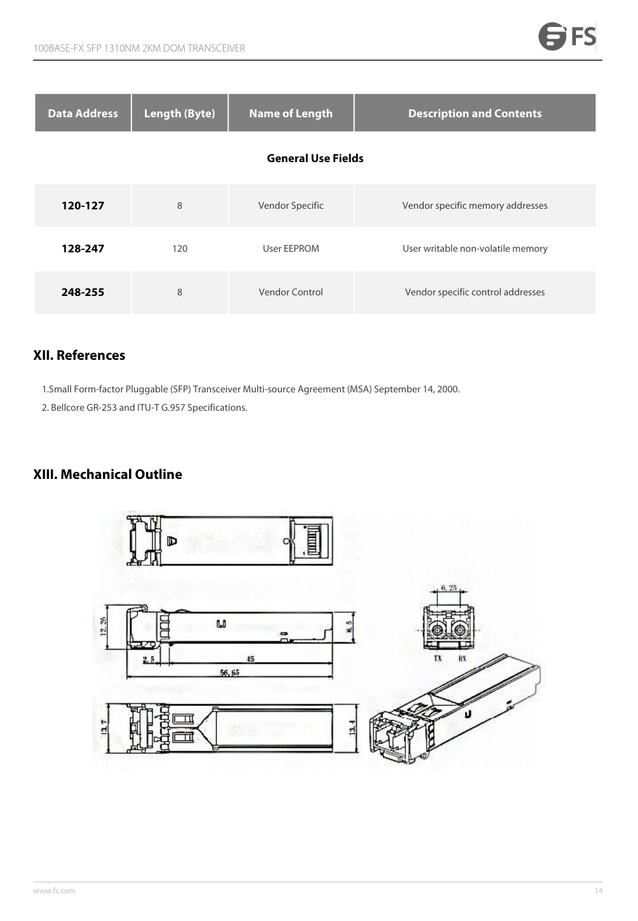| <b>Data Address</b> | <b>Length (Byte)</b> | <b>Name of Length</b>     | <b>Description and Contents</b>   |
|---------------------|----------------------|---------------------------|-----------------------------------|
|                     |                      | <b>General Use Fields</b> |                                   |
| 120-127             | 8                    | Vendor Specific           | Vendor specific memory addresses  |
| 128-247             | 120                  | User EEPROM               | User writable non-volatile memory |
| 248-255             | 8                    | Vendor Control            | Vendor specific control addresses |

### **XII. References**

1.Small Form-factor Pluggable (SFP) Transceiver Multi-source Agreement (MSA) September 14, 2000.

2. Bellcore GR-253 and ITU-T G.957 Specifications.

### **XIII. Mechanical Outline**

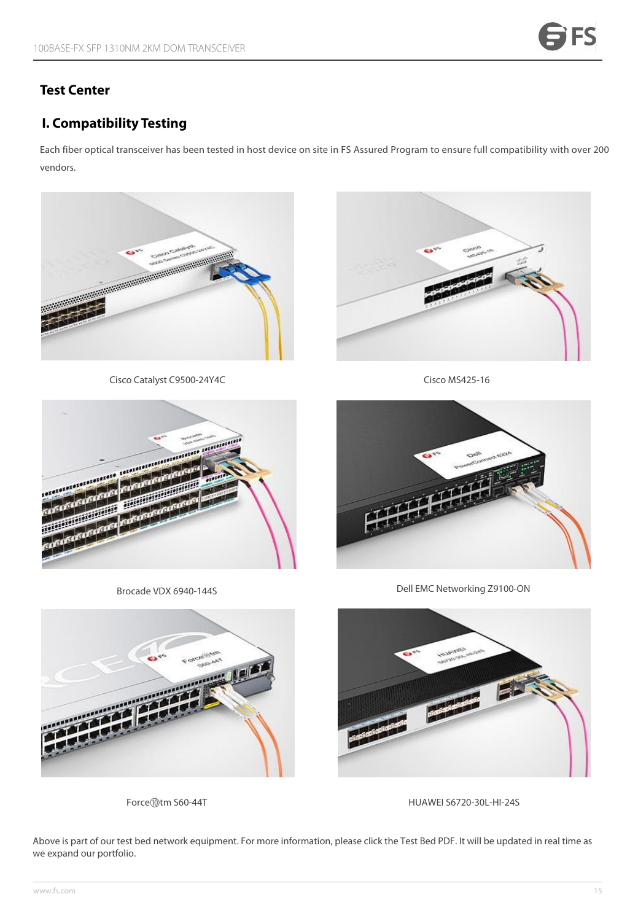### **Test Center**

### **I. Compatibility Testing**

Each fiber optical transceiver has been tested in host device on site in FS Assured Program to ensure full compatibility with over 200 vendors.



Cisco Catalyst C9500-24Y4C



Cisco MS425-16



Brocade VDX 6940-144S



Dell EMC Networking Z9100-ON





Force⑩tm S60-44T <br>
HUAWEI S6720-30L-HI-24S

Above is part of our test bed network equipment. For more information, please click the [Test](https://img-en.fs.com/file/compatibility_list/transceivers-supported-on-switches.pdf) Bed PDF. It will be updated in real time as we expand our portfolio.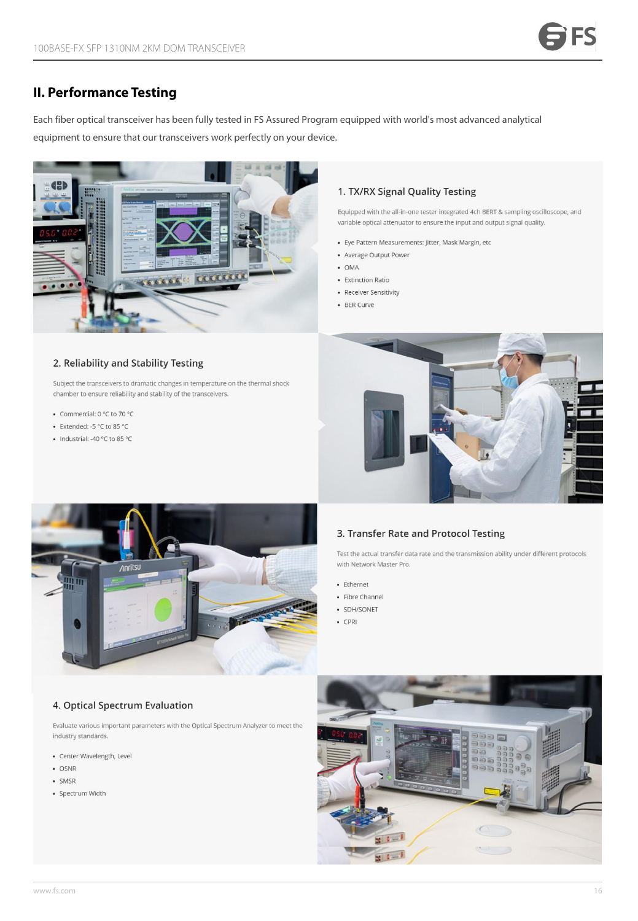### **II. Performance Testing**

Each fiber optical transceiver has been fully tested in FSAssured Program equipped with world's most advanced analytical equipment to ensure that our transceivers work perfectly on your device.



### 1. TX/RX Signal Quality Testing

Equipped with the all-in-one tester integrated 4ch BERT & sampling oscilloscope, and variable optical attenuator to ensure the input and output signal quality.

- · Eye Pattern Measurements: Jitter, Mask Margin, etc
- Average Output Power
- $\bullet$  OMA
- Extinction Ratio
- Receiver Sensitivity
- BER Curve

#### 2. Reliability and Stability Testing

Subject the transceivers to dramatic changes in temperature on the thermal shock chamber to ensure reliability and stability of the transceivers.

- Commercial: 0 °C to 70 °C
- Extended: -5 °C to 85 °C
- Industrial: -40 °C to 85 °C





#### 3. Transfer Rate and Protocol Testing

Test the actual transfer data rate and the transmission ability under different protocols with Network Master Pro.

- Ethernet
- Fibre Channel
- · SDH/SONET
- $\cdot$  CPRI

#### 4. Optical Spectrum Evaluation

Evaluate various important parameters with the Optical Spectrum Analyzer to meet the industry standards.

- Center Wavelength, Level
- · OSNR
- · SMSR
- · Spectrum Width

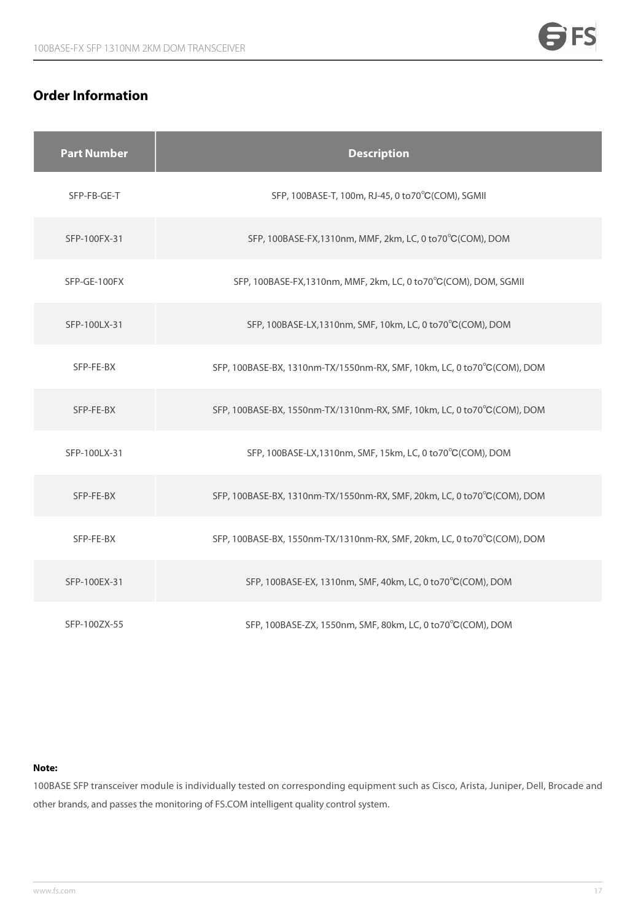### **Order Information**

|  | <b>Part Number</b> | <b>Description</b>                                                      |
|--|--------------------|-------------------------------------------------------------------------|
|  | SFP-FB-GE-T        | SFP, 100BASE-T, 100m, RJ-45, 0 to 70°C (COM), SGMII                     |
|  | SFP-100FX-31       | SFP, 100BASE-FX, 1310nm, MMF, 2km, LC, 0 to 70°C (COM), DOM             |
|  | SFP-GE-100FX       | SFP, 100BASE-FX, 1310nm, MMF, 2km, LC, 0 to 70°C (COM), DOM, SGMII      |
|  | SFP-100LX-31       | SFP, 100BASE-LX, 1310nm, SMF, 10km, LC, 0 to 70°C (COM), DOM            |
|  | SFP-FE-BX          | SFP, 100BASE-BX, 1310nm-TX/1550nm-RX, SMF, 10km, LC, 0 to70°C(COM), DOM |
|  | SFP-FE-BX          | SFP, 100BASE-BX, 1550nm-TX/1310nm-RX, SMF, 10km, LC, 0 to70°C(COM), DOM |
|  | SFP-100LX-31       | SFP, 100BASE-LX, 1310nm, SMF, 15km, LC, 0 to 70°C (COM), DOM            |
|  | SFP-FE-BX          | SFP, 100BASE-BX, 1310nm-TX/1550nm-RX, SMF, 20km, LC, 0 to70°C(COM), DOM |
|  | SFP-FE-BX          | SFP, 100BASE-BX, 1550nm-TX/1310nm-RX, SMF, 20km, LC, 0 to70°C(COM), DOM |
|  | SFP-100EX-31       | SFP, 100BASE-EX, 1310nm, SMF, 40km, LC, 0 to70°C(COM), DOM              |
|  | SFP-100ZX-55       | SFP, 100BASE-ZX, 1550nm, SMF, 80km, LC, 0 to70°C(COM), DOM              |

### **Note:**

100BASE SFP transceiver module is individually tested on corresponding equipment such as Cisco, Arista, Juniper, Dell, Brocade and other brands, and passes the monitoring of FS.COM intelligent quality control system.